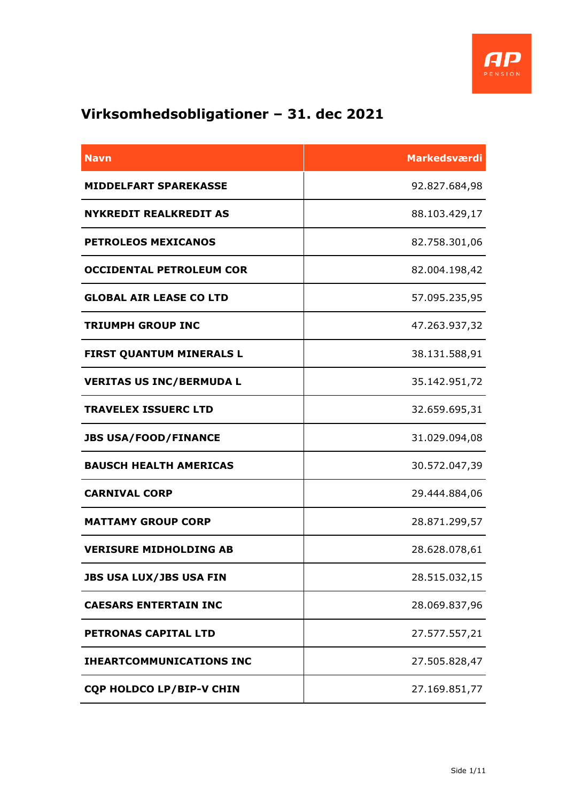

## **Virksomhedsobligationer – 31. dec 2021**

| <b>Navn</b>                     | Markedsværdi  |
|---------------------------------|---------------|
| <b>MIDDELFART SPAREKASSE</b>    | 92.827.684,98 |
| <b>NYKREDIT REALKREDIT AS</b>   | 88.103.429,17 |
| <b>PETROLEOS MEXICANOS</b>      | 82.758.301,06 |
| <b>OCCIDENTAL PETROLEUM COR</b> | 82.004.198,42 |
| <b>GLOBAL AIR LEASE CO LTD</b>  | 57.095.235,95 |
| <b>TRIUMPH GROUP INC</b>        | 47.263.937,32 |
| <b>FIRST QUANTUM MINERALS L</b> | 38.131.588,91 |
| <b>VERITAS US INC/BERMUDA L</b> | 35.142.951,72 |
| <b>TRAVELEX ISSUERC LTD</b>     | 32.659.695,31 |
| <b>JBS USA/FOOD/FINANCE</b>     | 31.029.094,08 |
| <b>BAUSCH HEALTH AMERICAS</b>   | 30.572.047,39 |
| <b>CARNIVAL CORP</b>            | 29.444.884,06 |
| <b>MATTAMY GROUP CORP</b>       | 28.871.299,57 |
| <b>VERISURE MIDHOLDING AB</b>   | 28.628.078,61 |
| <b>JBS USA LUX/JBS USA FIN</b>  | 28.515.032,15 |
| <b>CAESARS ENTERTAIN INC</b>    | 28.069.837,96 |
| PETRONAS CAPITAL LTD            | 27.577.557,21 |
| <b>IHEARTCOMMUNICATIONS INC</b> | 27.505.828,47 |
| <b>CQP HOLDCO LP/BIP-V CHIN</b> | 27.169.851,77 |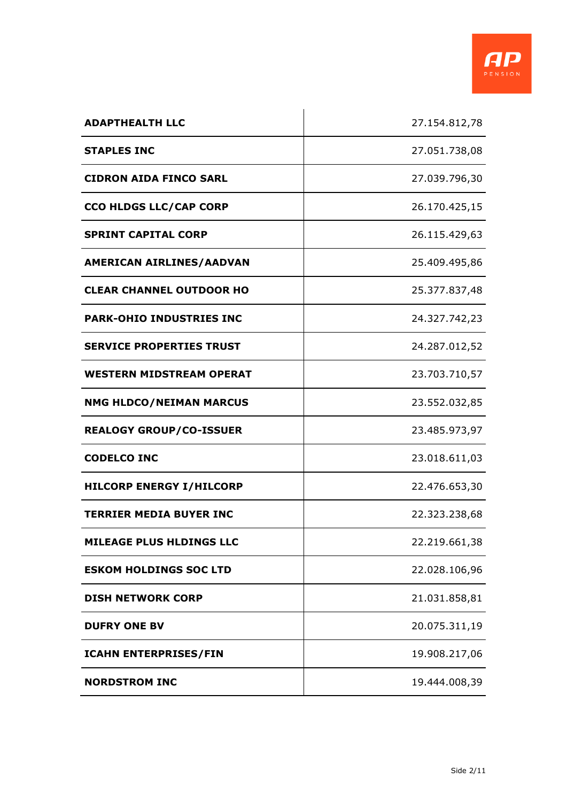

| <b>ADAPTHEALTH LLC</b>          | 27.154.812,78 |
|---------------------------------|---------------|
| <b>STAPLES INC</b>              | 27.051.738,08 |
| <b>CIDRON AIDA FINCO SARL</b>   | 27.039.796,30 |
| <b>CCO HLDGS LLC/CAP CORP</b>   | 26.170.425,15 |
| <b>SPRINT CAPITAL CORP</b>      | 26.115.429,63 |
| AMERICAN AIRLINES/AADVAN        | 25.409.495,86 |
| <b>CLEAR CHANNEL OUTDOOR HO</b> | 25.377.837,48 |
| <b>PARK-OHIO INDUSTRIES INC</b> | 24.327.742,23 |
| <b>SERVICE PROPERTIES TRUST</b> | 24.287.012,52 |
| <b>WESTERN MIDSTREAM OPERAT</b> | 23.703.710,57 |
| <b>NMG HLDCO/NEIMAN MARCUS</b>  | 23.552.032,85 |
| <b>REALOGY GROUP/CO-ISSUER</b>  | 23.485.973,97 |
| <b>CODELCO INC</b>              | 23.018.611,03 |
| <b>HILCORP ENERGY I/HILCORP</b> | 22.476.653,30 |
| <b>TERRIER MEDIA BUYER INC</b>  | 22.323.238,68 |
| <b>MILEAGE PLUS HLDINGS LLC</b> | 22.219.661,38 |
| <b>ESKOM HOLDINGS SOC LTD</b>   | 22.028.106,96 |
| <b>DISH NETWORK CORP</b>        | 21.031.858,81 |
| <b>DUFRY ONE BV</b>             | 20.075.311,19 |
| <b>ICAHN ENTERPRISES/FIN</b>    | 19.908.217,06 |
| <b>NORDSTROM INC</b>            | 19.444.008,39 |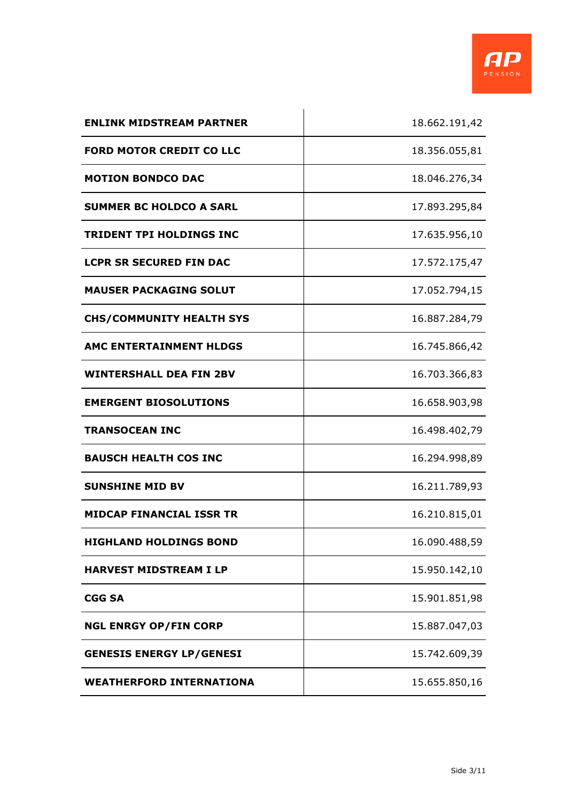

| <b>ENLINK MIDSTREAM PARTNER</b> | 18.662.191,42 |
|---------------------------------|---------------|
| <b>FORD MOTOR CREDIT CO LLC</b> | 18.356.055,81 |
| <b>MOTION BONDCO DAC</b>        | 18.046.276,34 |
| <b>SUMMER BC HOLDCO A SARL</b>  | 17.893.295,84 |
| <b>TRIDENT TPI HOLDINGS INC</b> | 17.635.956,10 |
| <b>LCPR SR SECURED FIN DAC</b>  | 17.572.175,47 |
| <b>MAUSER PACKAGING SOLUT</b>   | 17.052.794,15 |
| <b>CHS/COMMUNITY HEALTH SYS</b> | 16.887.284,79 |
| <b>AMC ENTERTAINMENT HLDGS</b>  | 16.745.866,42 |
| <b>WINTERSHALL DEA FIN 2BV</b>  | 16.703.366,83 |
| <b>EMERGENT BIOSOLUTIONS</b>    | 16.658.903,98 |
| <b>TRANSOCEAN INC</b>           | 16.498.402,79 |
| <b>BAUSCH HEALTH COS INC</b>    | 16.294.998,89 |
| <b>SUNSHINE MID BV</b>          | 16.211.789,93 |
| <b>MIDCAP FINANCIAL ISSR TR</b> | 16.210.815,01 |
| <b>HIGHLAND HOLDINGS BOND</b>   | 16.090.488,59 |
| <b>HARVEST MIDSTREAM I LP</b>   | 15.950.142,10 |
| <b>CGG SA</b>                   | 15.901.851,98 |
| <b>NGL ENRGY OP/FIN CORP</b>    | 15.887.047,03 |
| <b>GENESIS ENERGY LP/GENESI</b> | 15.742.609,39 |
| <b>WEATHERFORD INTERNATIONA</b> | 15.655.850,16 |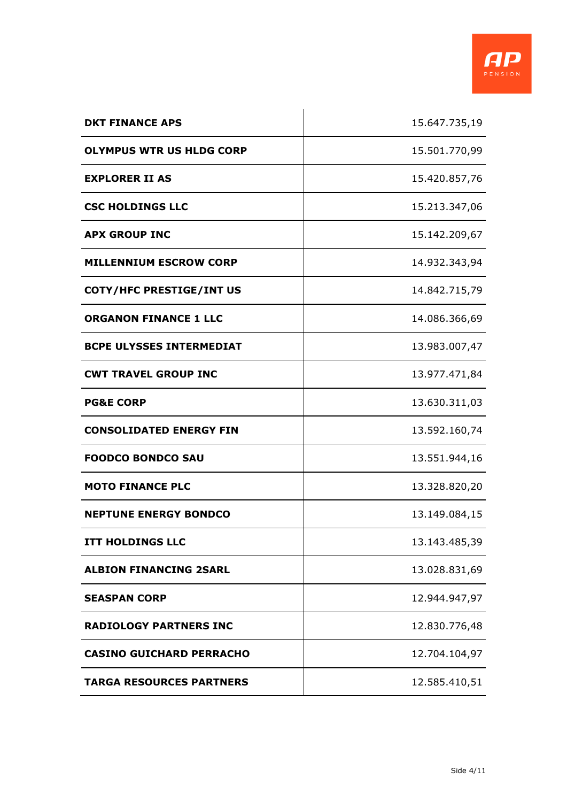

| <b>DKT FINANCE APS</b>          | 15.647.735,19 |
|---------------------------------|---------------|
| <b>OLYMPUS WTR US HLDG CORP</b> | 15.501.770,99 |
| <b>EXPLORER II AS</b>           | 15.420.857,76 |
| <b>CSC HOLDINGS LLC</b>         | 15.213.347,06 |
| <b>APX GROUP INC</b>            | 15.142.209,67 |
| <b>MILLENNIUM ESCROW CORP</b>   | 14.932.343,94 |
| COTY/HFC PRESTIGE/INT US        | 14.842.715,79 |
| <b>ORGANON FINANCE 1 LLC</b>    | 14.086.366,69 |
| <b>BCPE ULYSSES INTERMEDIAT</b> | 13.983.007,47 |
| <b>CWT TRAVEL GROUP INC</b>     | 13.977.471,84 |
| <b>PG&amp;E CORP</b>            | 13.630.311,03 |
| <b>CONSOLIDATED ENERGY FIN</b>  | 13.592.160,74 |
| <b>FOODCO BONDCO SAU</b>        | 13.551.944,16 |
| <b>MOTO FINANCE PLC</b>         | 13.328.820,20 |
| <b>NEPTUNE ENERGY BONDCO</b>    | 13.149.084,15 |
| <b>ITT HOLDINGS LLC</b>         | 13.143.485,39 |
| <b>ALBION FINANCING 2SARL</b>   | 13.028.831,69 |
| <b>SEASPAN CORP</b>             | 12.944.947,97 |
| <b>RADIOLOGY PARTNERS INC</b>   | 12.830.776,48 |
| <b>CASINO GUICHARD PERRACHO</b> | 12.704.104,97 |
| <b>TARGA RESOURCES PARTNERS</b> | 12.585.410,51 |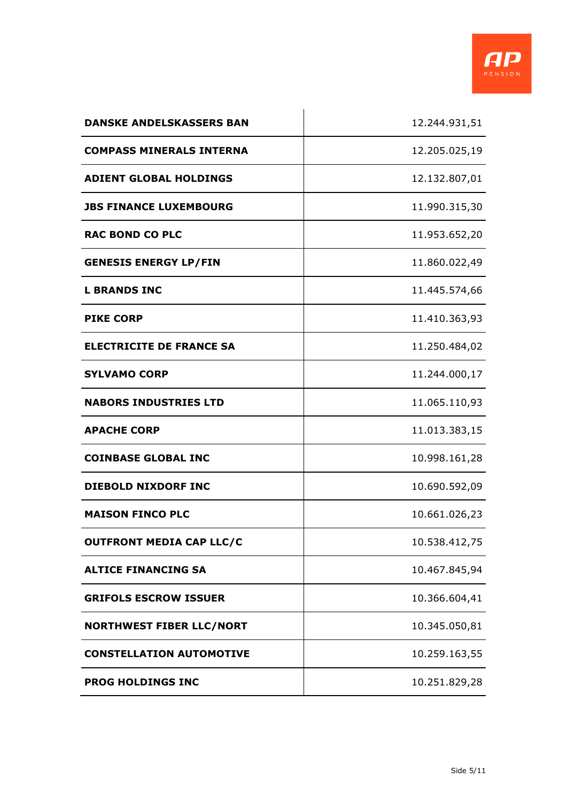

| <b>DANSKE ANDELSKASSERS BAN</b> | 12.244.931,51 |
|---------------------------------|---------------|
| <b>COMPASS MINERALS INTERNA</b> | 12.205.025,19 |
| <b>ADIENT GLOBAL HOLDINGS</b>   | 12.132.807,01 |
| <b>JBS FINANCE LUXEMBOURG</b>   | 11.990.315,30 |
| <b>RAC BOND CO PLC</b>          | 11.953.652,20 |
| <b>GENESIS ENERGY LP/FIN</b>    | 11.860.022,49 |
| <b>L BRANDS INC</b>             | 11.445.574,66 |
| <b>PIKE CORP</b>                | 11.410.363,93 |
| <b>ELECTRICITE DE FRANCE SA</b> | 11.250.484,02 |
| <b>SYLVAMO CORP</b>             | 11.244.000,17 |
| <b>NABORS INDUSTRIES LTD</b>    | 11.065.110,93 |
| <b>APACHE CORP</b>              | 11.013.383,15 |
| <b>COINBASE GLOBAL INC</b>      | 10.998.161,28 |
| <b>DIEBOLD NIXDORF INC</b>      | 10.690.592,09 |
| <b>MAISON FINCO PLC</b>         | 10.661.026,23 |
| <b>OUTFRONT MEDIA CAP LLC/C</b> | 10.538.412,75 |
| <b>ALTICE FINANCING SA</b>      | 10.467.845,94 |
| <b>GRIFOLS ESCROW ISSUER</b>    | 10.366.604,41 |
| <b>NORTHWEST FIBER LLC/NORT</b> | 10.345.050,81 |
| <b>CONSTELLATION AUTOMOTIVE</b> | 10.259.163,55 |
| <b>PROG HOLDINGS INC</b>        | 10.251.829,28 |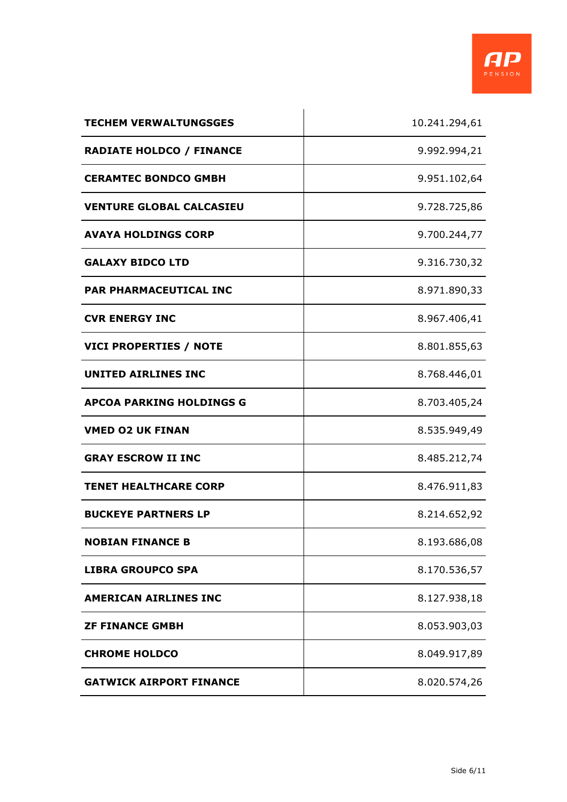

| <b>TECHEM VERWALTUNGSGES</b>    | 10.241.294,61 |
|---------------------------------|---------------|
| <b>RADIATE HOLDCO / FINANCE</b> | 9.992.994,21  |
| <b>CERAMTEC BONDCO GMBH</b>     | 9.951.102,64  |
| <b>VENTURE GLOBAL CALCASIEU</b> | 9.728.725,86  |
| <b>AVAYA HOLDINGS CORP</b>      | 9.700.244,77  |
| <b>GALAXY BIDCO LTD</b>         | 9.316.730,32  |
| PAR PHARMACEUTICAL INC          | 8.971.890,33  |
| <b>CVR ENERGY INC</b>           | 8.967.406,41  |
| <b>VICI PROPERTIES / NOTE</b>   | 8.801.855,63  |
| <b>UNITED AIRLINES INC</b>      | 8.768.446,01  |
| <b>APCOA PARKING HOLDINGS G</b> | 8.703.405,24  |
| <b>VMED O2 UK FINAN</b>         | 8.535.949,49  |
| <b>GRAY ESCROW II INC</b>       | 8.485.212,74  |
| <b>TENET HEALTHCARE CORP</b>    | 8.476.911,83  |
| <b>BUCKEYE PARTNERS LP</b>      | 8.214.652,92  |
| <b>NOBIAN FINANCE B</b>         | 8.193.686,08  |
| <b>LIBRA GROUPCO SPA</b>        | 8.170.536,57  |
| AMERICAN AIRLINES INC           | 8.127.938,18  |
| <b>ZF FINANCE GMBH</b>          | 8.053.903,03  |
| <b>CHROME HOLDCO</b>            | 8.049.917,89  |
| <b>GATWICK AIRPORT FINANCE</b>  | 8.020.574,26  |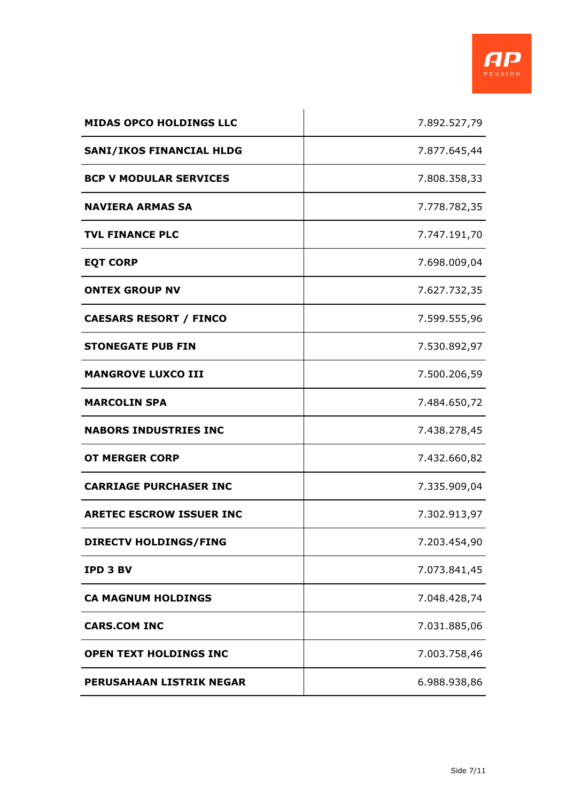

| <b>MIDAS OPCO HOLDINGS LLC</b>  | 7.892.527,79 |
|---------------------------------|--------------|
| <b>SANI/IKOS FINANCIAL HLDG</b> | 7.877.645,44 |
| <b>BCP V MODULAR SERVICES</b>   | 7.808.358,33 |
| <b>NAVIERA ARMAS SA</b>         | 7.778.782,35 |
| <b>TVL FINANCE PLC</b>          | 7.747.191,70 |
| <b>EQT CORP</b>                 | 7.698.009,04 |
| <b>ONTEX GROUP NV</b>           | 7.627.732,35 |
| <b>CAESARS RESORT / FINCO</b>   | 7.599.555,96 |
| <b>STONEGATE PUB FIN</b>        | 7.530.892,97 |
| <b>MANGROVE LUXCO III</b>       | 7.500.206,59 |
| <b>MARCOLIN SPA</b>             | 7.484.650,72 |
| <b>NABORS INDUSTRIES INC</b>    | 7.438.278,45 |
| <b>OT MERGER CORP</b>           | 7.432.660,82 |
| <b>CARRIAGE PURCHASER INC</b>   | 7.335.909,04 |
| <b>ARETEC ESCROW ISSUER INC</b> | 7.302.913,97 |
| <b>DIRECTV HOLDINGS/FING</b>    | 7.203.454,90 |
| <b>IPD 3 BV</b>                 | 7.073.841,45 |
| <b>CA MAGNUM HOLDINGS</b>       | 7.048.428,74 |
| <b>CARS.COM INC</b>             | 7.031.885,06 |
| <b>OPEN TEXT HOLDINGS INC</b>   | 7.003.758,46 |
| <b>PERUSAHAAN LISTRIK NEGAR</b> | 6.988.938,86 |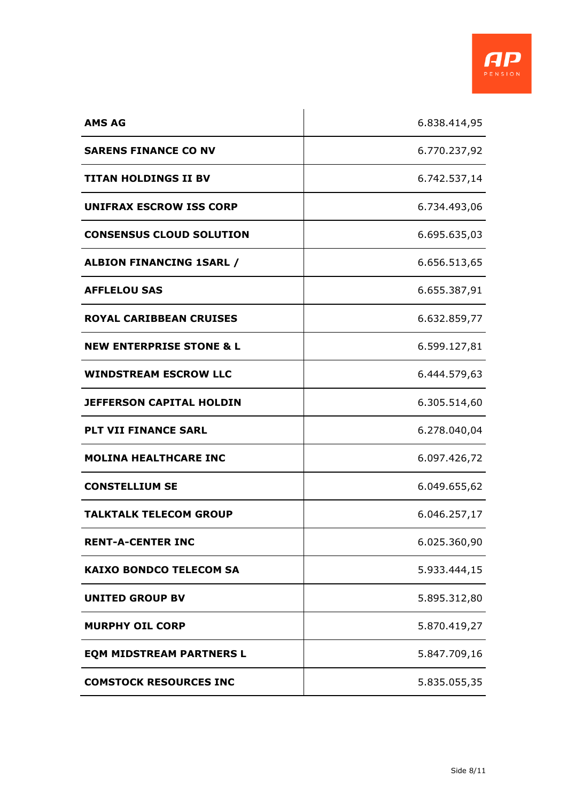

| <b>AMS AG</b>                       | 6.838.414,95 |
|-------------------------------------|--------------|
| <b>SARENS FINANCE CO NV</b>         | 6.770.237,92 |
| <b>TITAN HOLDINGS II BV</b>         | 6.742.537,14 |
| <b>UNIFRAX ESCROW ISS CORP</b>      | 6.734.493,06 |
| <b>CONSENSUS CLOUD SOLUTION</b>     | 6.695.635,03 |
| <b>ALBION FINANCING 1SARL /</b>     | 6.656.513,65 |
| <b>AFFLELOU SAS</b>                 | 6.655.387,91 |
| <b>ROYAL CARIBBEAN CRUISES</b>      | 6.632.859,77 |
| <b>NEW ENTERPRISE STONE &amp; L</b> | 6.599.127,81 |
| <b>WINDSTREAM ESCROW LLC</b>        | 6.444.579,63 |
| <b>JEFFERSON CAPITAL HOLDIN</b>     | 6.305.514,60 |
| <b>PLT VII FINANCE SARL</b>         | 6.278.040,04 |
| <b>MOLINA HEALTHCARE INC</b>        | 6.097.426,72 |
| <b>CONSTELLIUM SE</b>               | 6.049.655,62 |
| <b>TALKTALK TELECOM GROUP</b>       | 6.046.257,17 |
| <b>RENT-A-CENTER INC</b>            | 6.025.360,90 |
| <b>KAIXO BONDCO TELECOM SA</b>      | 5.933.444,15 |
| <b>UNITED GROUP BV</b>              | 5.895.312,80 |
| <b>MURPHY OIL CORP</b>              | 5.870.419,27 |
| <b>EQM MIDSTREAM PARTNERS L</b>     | 5.847.709,16 |
| <b>COMSTOCK RESOURCES INC</b>       | 5.835.055,35 |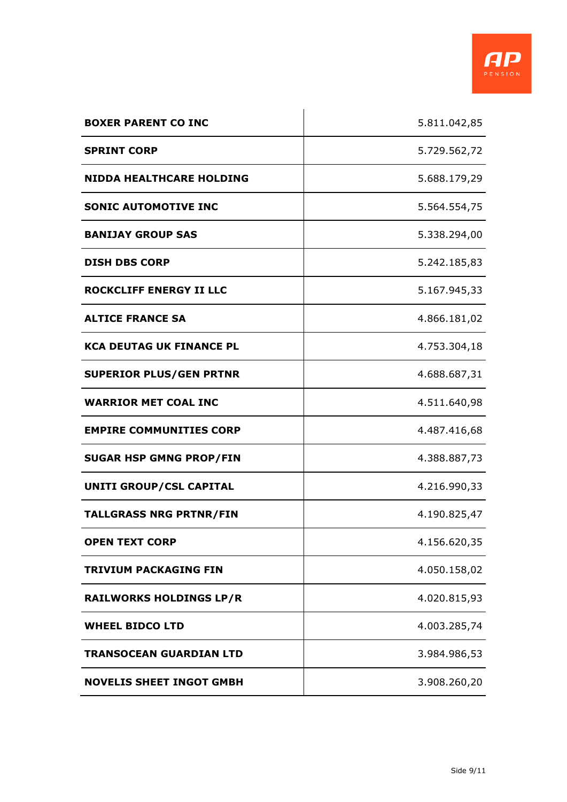

| <b>BOXER PARENT CO INC</b>      | 5.811.042,85 |
|---------------------------------|--------------|
| <b>SPRINT CORP</b>              | 5.729.562,72 |
| <b>NIDDA HEALTHCARE HOLDING</b> | 5.688.179,29 |
| <b>SONIC AUTOMOTIVE INC</b>     | 5.564.554,75 |
| <b>BANIJAY GROUP SAS</b>        | 5.338.294,00 |
| <b>DISH DBS CORP</b>            | 5.242.185,83 |
| <b>ROCKCLIFF ENERGY II LLC</b>  | 5.167.945,33 |
| <b>ALTICE FRANCE SA</b>         | 4.866.181,02 |
| <b>KCA DEUTAG UK FINANCE PL</b> | 4.753.304,18 |
| <b>SUPERIOR PLUS/GEN PRTNR</b>  | 4.688.687,31 |
| <b>WARRIOR MET COAL INC</b>     | 4.511.640,98 |
| <b>EMPIRE COMMUNITIES CORP</b>  | 4.487.416,68 |
| <b>SUGAR HSP GMNG PROP/FIN</b>  | 4.388.887,73 |
| UNITI GROUP/CSL CAPITAL         | 4.216.990,33 |
| <b>TALLGRASS NRG PRTNR/FIN</b>  | 4.190.825,47 |
| <b>OPEN TEXT CORP</b>           | 4.156.620,35 |
| TRIVIUM PACKAGING FIN           | 4.050.158,02 |
| <b>RAILWORKS HOLDINGS LP/R</b>  | 4.020.815,93 |
| <b>WHEEL BIDCO LTD</b>          | 4.003.285,74 |
| <b>TRANSOCEAN GUARDIAN LTD</b>  | 3.984.986,53 |
| <b>NOVELIS SHEET INGOT GMBH</b> | 3.908.260,20 |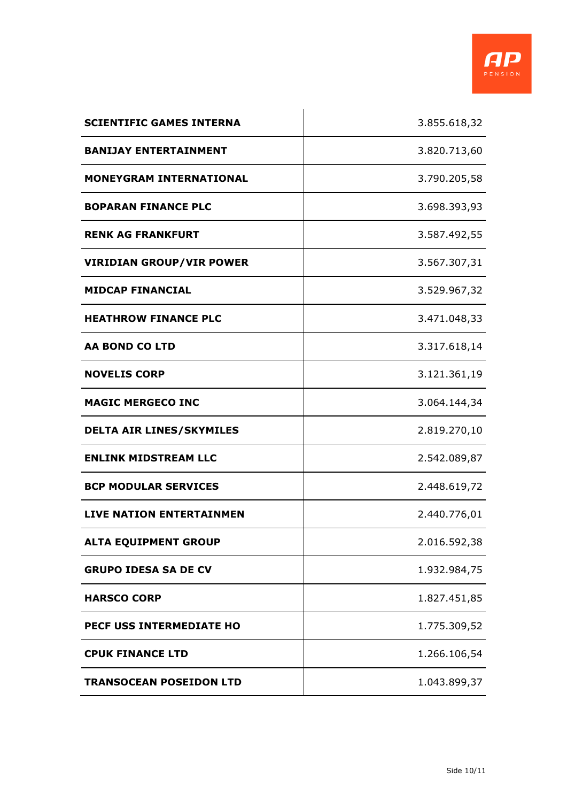

| <b>SCIENTIFIC GAMES INTERNA</b> | 3.855.618,32 |
|---------------------------------|--------------|
| <b>BANIJAY ENTERTAINMENT</b>    | 3.820.713,60 |
| <b>MONEYGRAM INTERNATIONAL</b>  | 3.790.205,58 |
| <b>BOPARAN FINANCE PLC</b>      | 3.698.393,93 |
| <b>RENK AG FRANKFURT</b>        | 3.587.492,55 |
| <b>VIRIDIAN GROUP/VIR POWER</b> | 3.567.307,31 |
| <b>MIDCAP FINANCIAL</b>         | 3.529.967,32 |
| <b>HEATHROW FINANCE PLC</b>     | 3.471.048,33 |
| <b>AA BOND CO LTD</b>           | 3.317.618,14 |
| <b>NOVELIS CORP</b>             | 3.121.361,19 |
| <b>MAGIC MERGECO INC</b>        | 3.064.144,34 |
| <b>DELTA AIR LINES/SKYMILES</b> | 2.819.270,10 |
| <b>ENLINK MIDSTREAM LLC</b>     | 2.542.089,87 |
| <b>BCP MODULAR SERVICES</b>     | 2.448.619,72 |
| <b>LIVE NATION ENTERTAINMEN</b> | 2.440.776,01 |
| <b>ALTA EQUIPMENT GROUP</b>     | 2.016.592,38 |
| <b>GRUPO IDESA SA DE CV</b>     | 1.932.984,75 |
| <b>HARSCO CORP</b>              | 1.827.451,85 |
| PECF USS INTERMEDIATE HO        | 1.775.309,52 |
| <b>CPUK FINANCE LTD</b>         | 1.266.106,54 |
| <b>TRANSOCEAN POSEIDON LTD</b>  | 1.043.899,37 |